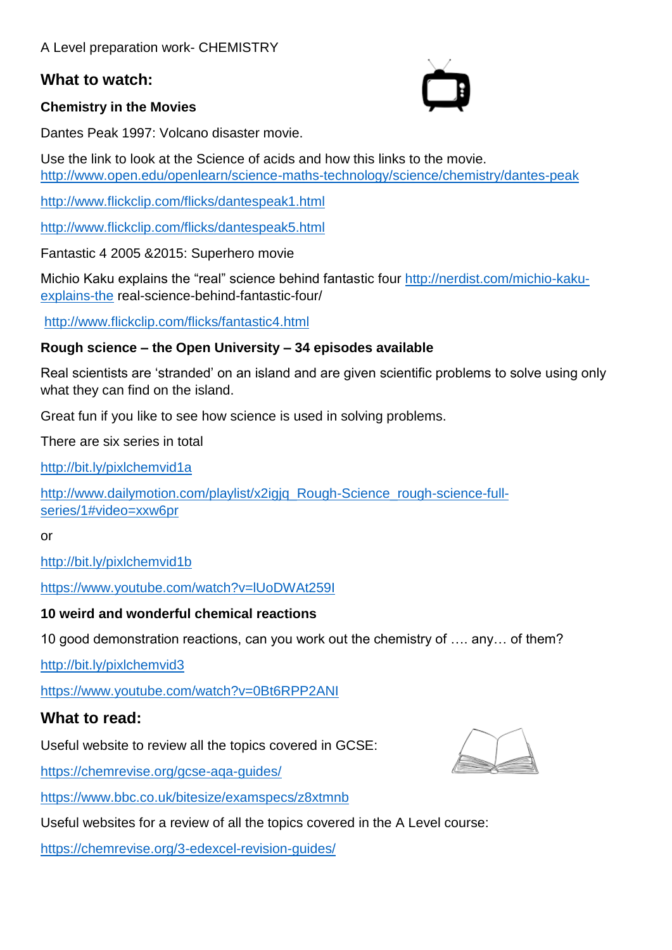### **What to watch:**

#### **Chemistry in the Movies**



Dantes Peak 1997: Volcano disaster movie.

Use the link to look at the Science of acids and how this links to the movie. <http://www.open.edu/openlearn/science-maths-technology/science/chemistry/dantes-peak>

<http://www.flickclip.com/flicks/dantespeak1.html>

<http://www.flickclip.com/flicks/dantespeak5.html>

Fantastic 4 2005 &2015: Superhero movie

Michio Kaku explains the "real" science behind fantastic four [http://nerdist.com/michio-kaku](http://nerdist.com/michio-kaku-explains-the)[explains-the](http://nerdist.com/michio-kaku-explains-the) real-science-behind-fantastic-four/

<http://www.flickclip.com/flicks/fantastic4.html>

#### **Rough science – the Open University – 34 episodes available**

Real scientists are 'stranded' on an island and are given scientific problems to solve using only what they can find on the island.

Great fun if you like to see how science is used in solving problems.

There are six series in total

<http://bit.ly/pixlchemvid1a>

http://www.dailymotion.com/playlist/x2igiq\_Rough-Science\_rough-science-full[series/1#video=xxw6pr](http://www.dailymotion.com/playlist/x2igjq_Rough-Science_rough-science-full-series/1#video=xxw6pr)

or

<http://bit.ly/pixlchemvid1b>

<https://www.youtube.com/watch?v=lUoDWAt259I>

#### **10 weird and wonderful chemical reactions**

10 good demonstration reactions, can you work out the chemistry of …. any… of them?

<http://bit.ly/pixlchemvid3>

<https://www.youtube.com/watch?v=0Bt6RPP2ANI>

### **What to read:**

Useful website to review all the topics covered in GCSE:

<https://chemrevise.org/gcse-aqa-guides/>

<https://www.bbc.co.uk/bitesize/examspecs/z8xtmnb>

Useful websites for a review of all the topics covered in the A Level course:

<https://chemrevise.org/3-edexcel-revision-guides/>

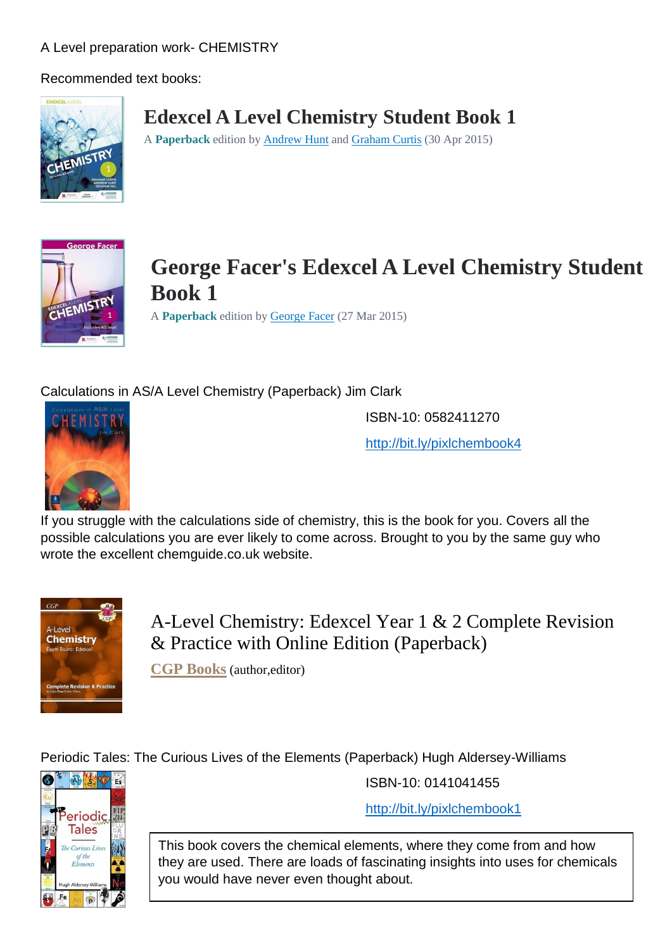Recommended text books:



# **Edexcel A Level Chemistry Student Book 1**

A **Paperback** edition b[y Andrew Hunt](https://wordery.com/andrew-hunt-author) an[d Graham Curtis](https://wordery.com/graham-curtis-author) (30 Apr 2015)



**George Facer's Edexcel A Level Chemistry Student Book 1**

A **Paperback** edition b[y George Facer](https://wordery.com/george-facer-author) (27 Mar 2015)

## Calculations in AS/A Level Chemistry (Paperback) Jim Clark



ISBN-10: 0582411270

<http://bit.ly/pixlchembook4>

If you struggle with the calculations side of chemistry, this is the book for you. Covers all the possible calculations you are ever likely to come across. Brought to you by the same guy who wrote the excellent chemguide.co.uk website.



A-Level Chemistry: Edexcel Year 1 & 2 Complete Revision & Practice with Online Edition (Paperback)

**[CGP Books](https://www.waterstones.com/author/cgp-books/34294)** (author,editor)

Periodic Tales: The Curious Lives of the Elements (Paperback) Hugh Aldersey-Williams



ISBN-10: 0141041455

<http://bit.ly/pixlchembook1>

This book covers the chemical elements, where they come from and how they are used. There are loads of fascinating insights into uses for chemicals you would have never even thought about.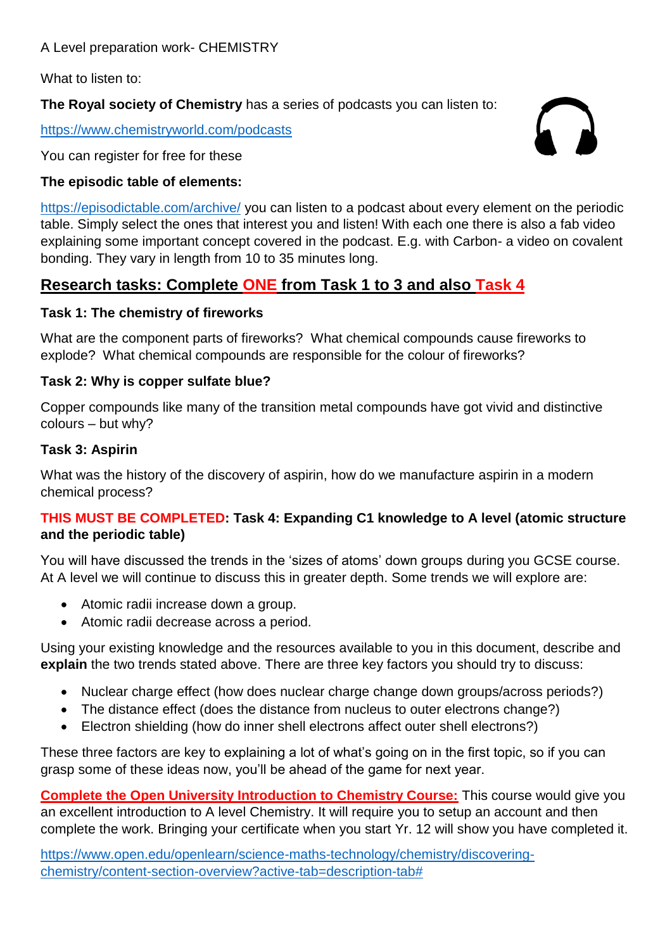What to listen to:

**The Royal society of Chemistry** has a series of podcasts you can listen to:

<https://www.chemistryworld.com/podcasts>

You can register for free for these

#### **The episodic table of elements:**

<https://episodictable.com/archive/> you can listen to a podcast about every element on the periodic table. Simply select the ones that interest you and listen! With each one there is also a fab video explaining some important concept covered in the podcast. E.g. with Carbon- a video on covalent bonding. They vary in length from 10 to 35 minutes long.

 $\sqrt{2}$ 

# **Research tasks: Complete ONE from Task 1 to 3 and also Task 4**

#### **Task 1: The chemistry of fireworks**

What are the component parts of fireworks? What chemical compounds cause fireworks to explode? What chemical compounds are responsible for the colour of fireworks?

#### **Task 2: Why is copper sulfate blue?**

Copper compounds like many of the transition metal compounds have got vivid and distinctive colours – but why?

#### **Task 3: Aspirin**

What was the history of the discovery of aspirin, how do we manufacture aspirin in a modern chemical process?

#### **THIS MUST BE COMPLETED: Task 4: Expanding C1 knowledge to A level (atomic structure and the periodic table)**

You will have discussed the trends in the 'sizes of atoms' down groups during you GCSE course. At A level we will continue to discuss this in greater depth. Some trends we will explore are:

- Atomic radii increase down a group.
- Atomic radii decrease across a period.

Using your existing knowledge and the resources available to you in this document, describe and **explain** the two trends stated above. There are three key factors you should try to discuss:

- Nuclear charge effect (how does nuclear charge change down groups/across periods?)
- The distance effect (does the distance from nucleus to outer electrons change?)
- Electron shielding (how do inner shell electrons affect outer shell electrons?)

These three factors are key to explaining a lot of what's going on in the first topic, so if you can grasp some of these ideas now, you'll be ahead of the game for next year.

**Complete the Open University Introduction to Chemistry Course:** This course would give you an excellent introduction to A level Chemistry. It will require you to setup an account and then complete the work. Bringing your certificate when you start Yr. 12 will show you have completed it.

[https://www.open.edu/openlearn/science-maths-technology/chemistry/discovering](https://www.open.edu/openlearn/science-maths-technology/chemistry/discovering-chemistry/content-section-overview?active-tab=description-tab)[chemistry/content-section-overview?active-tab=description-tab#](https://www.open.edu/openlearn/science-maths-technology/chemistry/discovering-chemistry/content-section-overview?active-tab=description-tab)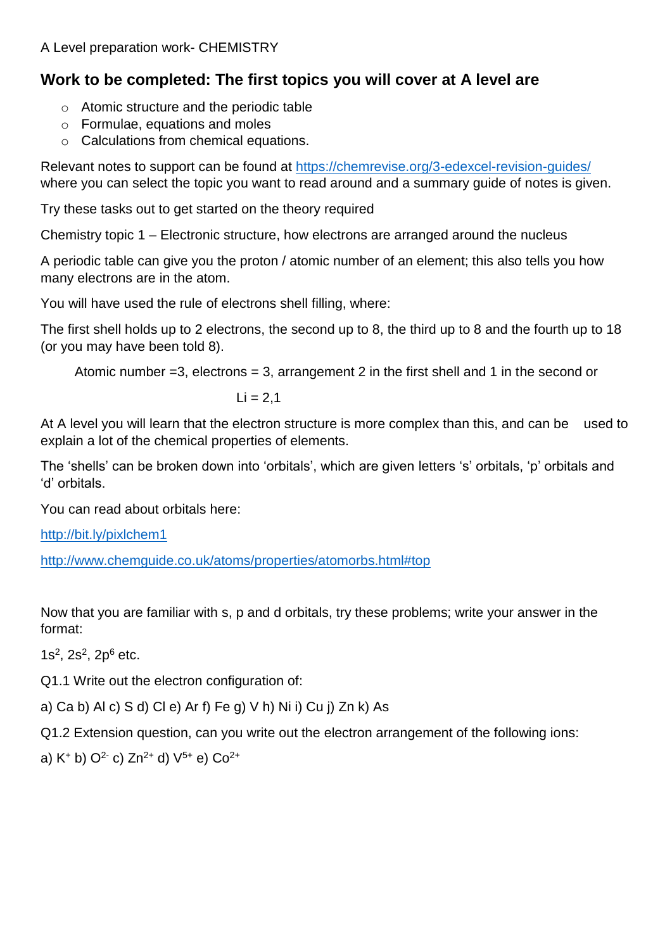# **Work to be completed: The first topics you will cover at A level are**

- o Atomic structure and the periodic table
- o Formulae, equations and moles
- o Calculations from chemical equations.

Relevant notes to support can be found at<https://chemrevise.org/3-edexcel-revision-guides/> where you can select the topic you want to read around and a summary quide of notes is given.

Try these tasks out to get started on the theory required

Chemistry topic 1 – Electronic structure, how electrons are arranged around the nucleus

A periodic table can give you the proton / atomic number of an element; this also tells you how many electrons are in the atom.

You will have used the rule of electrons shell filling, where:

The first shell holds up to 2 electrons, the second up to 8, the third up to 8 and the fourth up to 18 (or you may have been told 8).

Atomic number  $=3$ , electrons  $=3$ , arrangement 2 in the first shell and 1 in the second or

 $Li = 2.1$ 

At A level you will learn that the electron structure is more complex than this, and can be used to explain a lot of the chemical properties of elements.

The 'shells' can be broken down into 'orbitals', which are given letters 's' orbitals, 'p' orbitals and 'd' orbitals.

You can read about orbitals here:

<http://bit.ly/pixlchem1>

<http://www.chemguide.co.uk/atoms/properties/atomorbs.html#top>

Now that you are familiar with s, p and d orbitals, try these problems; write your answer in the format:

 $1s^2$ ,  $2s^2$ ,  $2p^6$  etc.

Q1.1 Write out the electron configuration of:

a) Ca b) Al c) S d) Cl e) Ar f) Fe g) V h) Ni i) Cu j) Zn k) As

Q1.2 Extension question, can you write out the electron arrangement of the following ions:

a)  $K^+$  b)  $Q^2$  c)  $Zn^{2+}$  d)  $V^{5+}$  e)  $Co^{2+}$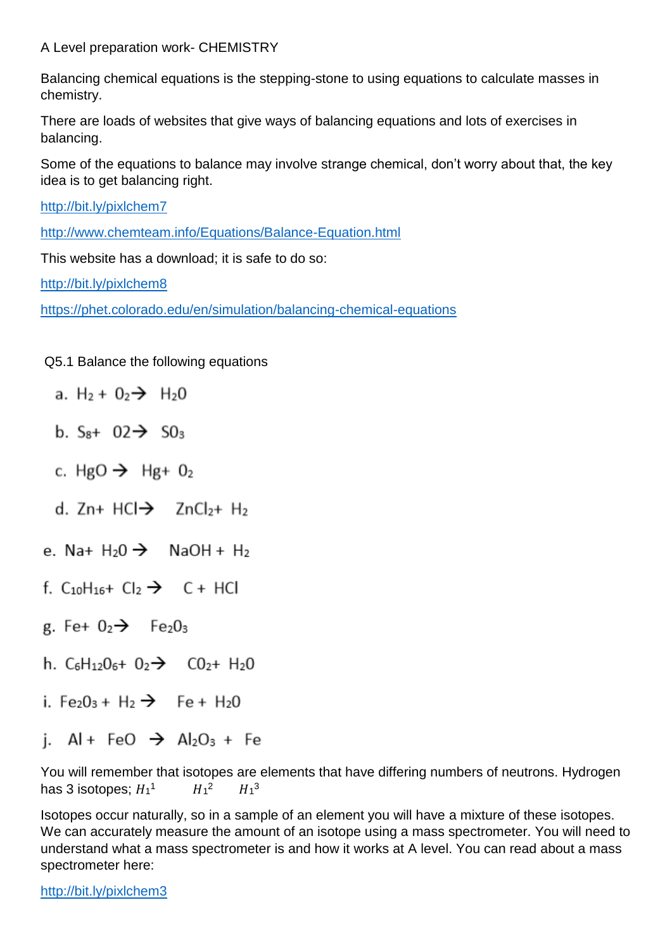Balancing chemical equations is the stepping-stone to using equations to calculate masses in chemistry.

There are loads of websites that give ways of balancing equations and lots of exercises in balancing.

Some of the equations to balance may involve strange chemical, don't worry about that, the key idea is to get balancing right.

<http://bit.ly/pixlchem7>

<http://www.chemteam.info/Equations/Balance-Equation.html>

This website has a download; it is safe to do so:

<http://bit.ly/pixlchem8>

<https://phet.colorado.edu/en/simulation/balancing-chemical-equations>

#### Q5.1 Balance the following equations

- a. H<sub>2</sub> +  $0<sub>2</sub>$  + H<sub>2</sub>O
- b.  $S_{8}$ + 02 $\rightarrow$  50<sub>3</sub>
- c. HgO  $\rightarrow$  Hg+ O<sub>2</sub>
- d. Zn+ HCl $\rightarrow$  ZnCl<sub>2</sub>+ H<sub>2</sub>
- e. Na+  $H_2O \rightarrow$  NaOH +  $H_2$
- f. C10H16+ Cl2  $\rightarrow$  C + HCl
- g. Fe+  $0_2 \rightarrow$  Fe<sub>2</sub> $0_3$
- h.  $C_6H_{12}O_6 + O_2 \rightarrow CO_2 + H_2O$
- i. Fe<sub>2</sub>O<sub>3</sub> + H<sub>2</sub>  $\rightarrow$  Fe + H<sub>2</sub>O
- i. Al + FeO  $\rightarrow$  Al<sub>2</sub>O<sub>3</sub> + Fe

You will remember that isotopes are elements that have differing numbers of neutrons. Hydrogen has 3 isotopes;  $H_1^1$   $H_1^2$   $H_1^3$ 

Isotopes occur naturally, so in a sample of an element you will have a mixture of these isotopes. We can accurately measure the amount of an isotope using a mass spectrometer. You will need to understand what a mass spectrometer is and how it works at A level. You can read about a mass spectrometer here:

<http://bit.ly/pixlchem3>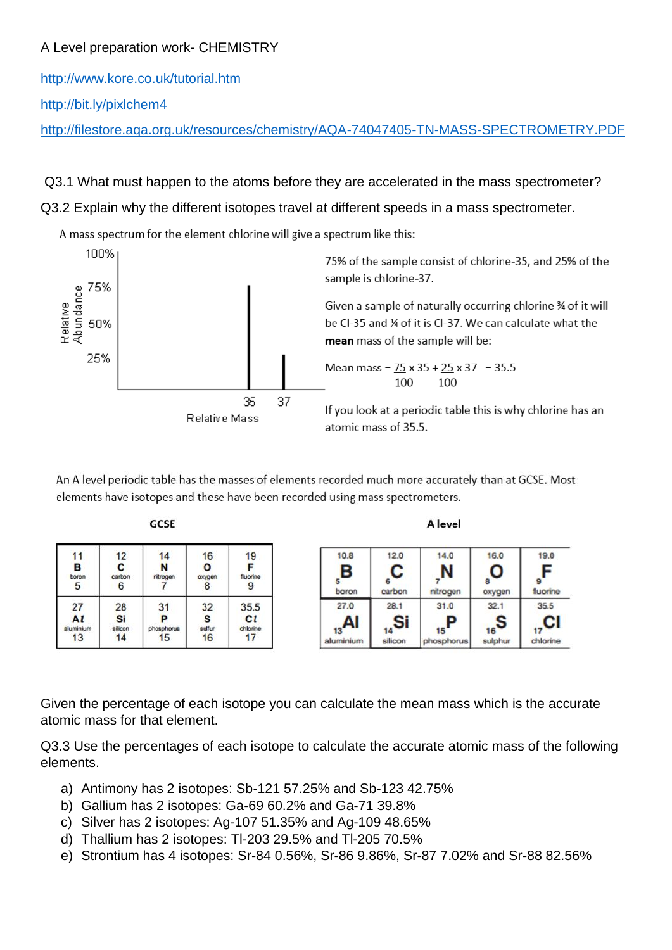<http://www.kore.co.uk/tutorial.htm>

<http://bit.ly/pixlchem4>

<http://filestore.aqa.org.uk/resources/chemistry/AQA-74047405-TN-MASS-SPECTROMETRY.PDF>

#### Q3.1 What must happen to the atoms before they are accelerated in the mass spectrometer?

#### Q3.2 Explain why the different isotopes travel at different speeds in a mass spectrometer.

A mass spectrum for the element chlorine will give a spectrum like this:



An A level periodic table has the masses of elements recorded much more accurately than at GCSE. Most elements have isotopes and these have been recorded using mass spectrometers.

| ١ |  |  |
|---|--|--|
|---|--|--|

| 11<br>в<br>boron<br>5 | 12<br>С<br>carbon<br>6 | 14<br>N<br>nitrogen | 16<br>O<br>oxygen | 19<br>fluorine<br>9 |
|-----------------------|------------------------|---------------------|-------------------|---------------------|
| 27                    | 28                     | 31                  | 32                | 35.5                |
| Al                    | Si                     | P                   | s                 | $c_l$               |
| aluminium             | silicon                | phosphorus          | sulfur            | chlorine            |
| 13                    | 14                     | 15                  | 16                | 17                  |

| . . | æ. |
|-----|----|

| 10.8<br>в<br>boron      | 12.0<br>С<br>carbon  | 14.0<br>nitrogen             | 16.0<br>O<br>8<br>oxygen     | 19.0<br>⊏<br>fluorine |
|-------------------------|----------------------|------------------------------|------------------------------|-----------------------|
| 27.0<br>13<br>aluminium | 28.1<br>Si<br>ilicon | 31.0<br>D<br>15<br>hosphorus | 32.1<br>$_{16}$ S<br>sulphur | 35.5<br>chlorine      |

Given the percentage of each isotope you can calculate the mean mass which is the accurate atomic mass for that element.

Q3.3 Use the percentages of each isotope to calculate the accurate atomic mass of the following elements.

- a) Antimony has 2 isotopes: Sb-121 57.25% and Sb-123 42.75%
- b) Gallium has 2 isotopes: Ga-69 60.2% and Ga-71 39.8%
- c) Silver has 2 isotopes: Ag-107 51.35% and Ag-109 48.65%
- d) Thallium has 2 isotopes: Tl-203 29.5% and Tl-205 70.5%
- e) Strontium has 4 isotopes: Sr-84 0.56%, Sr-86 9.86%, Sr-87 7.02% and Sr-88 82.56%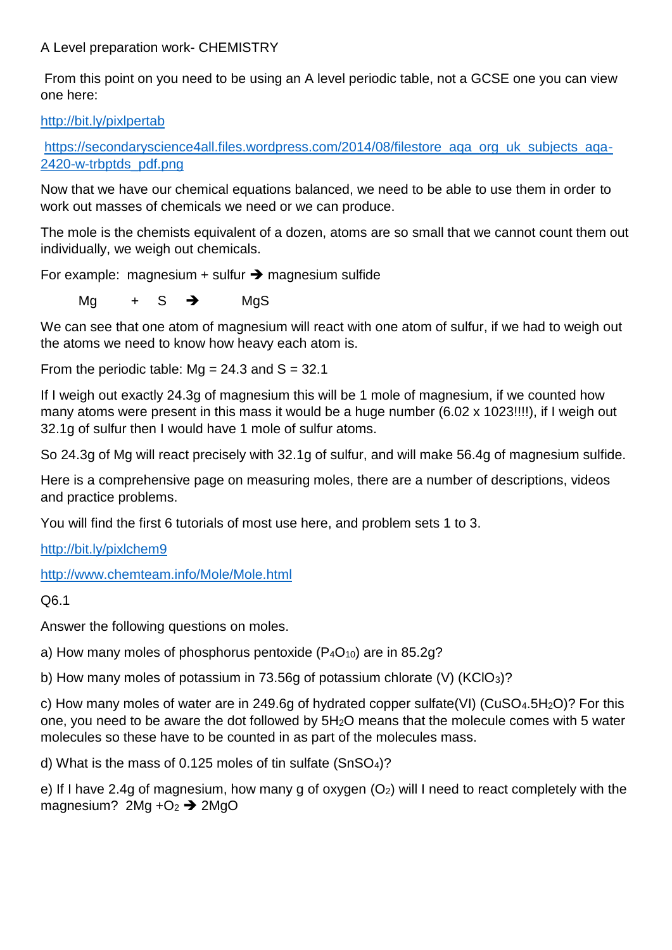From this point on you need to be using an A level periodic table, not a GCSE one you can view one here:

<http://bit.ly/pixlpertab>

https://secondaryscience4all.files.wordpress.com/2014/08/filestore\_aga\_org\_uk\_subjects\_aga-[2420-w-trbptds\\_pdf.png](https://secondaryscience4all.files.wordpress.com/2014/08/filestore_aqa_org_uk_subjects_aqa-2420-w-trbptds_pdf.png)

Now that we have our chemical equations balanced, we need to be able to use them in order to work out masses of chemicals we need or we can produce.

The mole is the chemists equivalent of a dozen, atoms are so small that we cannot count them out individually, we weigh out chemicals.

For example: magnesium + sulfur  $\rightarrow$  magnesium sulfide

Mg  $+ S \rightarrow$  MgS

We can see that one atom of magnesium will react with one atom of sulfur, if we had to weigh out the atoms we need to know how heavy each atom is.

From the periodic table:  $Mq = 24.3$  and  $S = 32.1$ 

If I weigh out exactly 24.3g of magnesium this will be 1 mole of magnesium, if we counted how many atoms were present in this mass it would be a huge number (6.02 x 1023!!!!), if I weigh out 32.1g of sulfur then I would have 1 mole of sulfur atoms.

So 24.3g of Mg will react precisely with 32.1g of sulfur, and will make 56.4g of magnesium sulfide.

Here is a comprehensive page on measuring moles, there are a number of descriptions, videos and practice problems.

You will find the first 6 tutorials of most use here, and problem sets 1 to 3.

<http://bit.ly/pixlchem9>

<http://www.chemteam.info/Mole/Mole.html>

Q6.1

Answer the following questions on moles.

a) How many moles of phosphorus pentoxide  $(P_4O_{10})$  are in 85.2q?

b) How many moles of potassium in 73.56g of potassium chlorate (V) (KClO<sub>3</sub>)?

c) How many moles of water are in 249.6g of hydrated copper sulfate(VI) (CuSO<sub>4</sub>.5H<sub>2</sub>O)? For this one, you need to be aware the dot followed by 5H2O means that the molecule comes with 5 water molecules so these have to be counted in as part of the molecules mass.

d) What is the mass of 0.125 moles of tin sulfate (SnSO4)?

e) If I have 2.4g of magnesium, how many g of oxygen  $(O_2)$  will I need to react completely with the magnesium?  $2Mq +O<sub>2</sub>$   $\rightarrow$   $2MqO$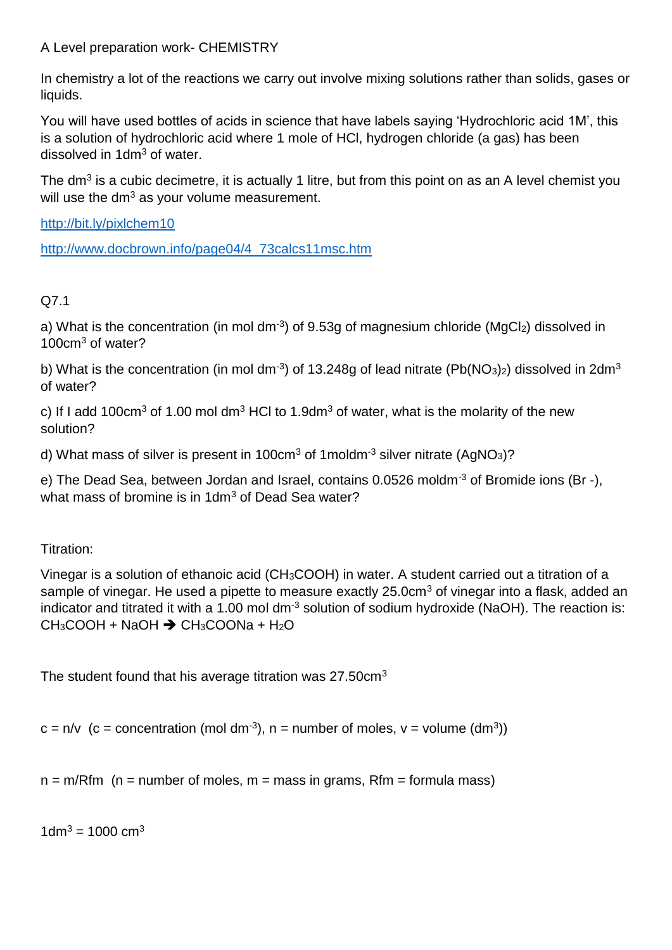In chemistry a lot of the reactions we carry out involve mixing solutions rather than solids, gases or liquids.

You will have used bottles of acids in science that have labels saying 'Hydrochloric acid 1M', this is a solution of hydrochloric acid where 1 mole of HCl, hydrogen chloride (a gas) has been dissolved in 1dm<sup>3</sup> of water.

The dm<sup>3</sup> is a cubic decimetre, it is actually 1 litre, but from this point on as an A level chemist you will use the  $dm^3$  as your volume measurement.

<http://bit.ly/pixlchem10>

[http://www.docbrown.info/page04/4\\_73calcs11msc.htm](http://www.docbrown.info/page04/4_73calcs11msc.htm)

## Q7.1

a) What is the concentration (in mol dm<sup>-3</sup>) of 9.53g of magnesium chloride (MgCl<sub>2</sub>) dissolved in 100cm<sup>3</sup> of water?

b) What is the concentration (in mol dm<sup>-3</sup>) of 13.248g of lead nitrate (Pb(NO<sub>3</sub>)<sub>2</sub>) dissolved in 2dm<sup>3</sup> of water?

c) If I add 100cm<sup>3</sup> of 1.00 mol dm<sup>3</sup> HCI to 1.9dm<sup>3</sup> of water, what is the molarity of the new solution?

d) What mass of silver is present in 100 $cm<sup>3</sup>$  of 1moldm<sup>-3</sup> silver nitrate (AgNO<sub>3</sub>)?

e) The Dead Sea, between Jordan and Israel, contains 0.0526 moldm<sup>-3</sup> of Bromide ions (Br -), what mass of bromine is in 1dm<sup>3</sup> of Dead Sea water?

Titration:

Vinegar is a solution of ethanoic acid (CH3COOH) in water. A student carried out a titration of a sample of vinegar. He used a pipette to measure exactly 25.0cm<sup>3</sup> of vinegar into a flask, added an indicator and titrated it with a 1.00 mol dm<sup>-3</sup> solution of sodium hydroxide (NaOH). The reaction is:  $CH_3COOH + NaOH \rightarrow CH_3COONa + H_2O$ 

The student found that his average titration was 27.50cm<sup>3</sup>

 $c = n/v$  (c = concentration (mol dm<sup>-3</sup>), n = number of moles, v = volume (dm<sup>3</sup>))

 $n = m/Rfm$  (n = number of moles, m = mass in grams, Rfm = formula mass)

 $1dm^3 = 1000 cm^3$